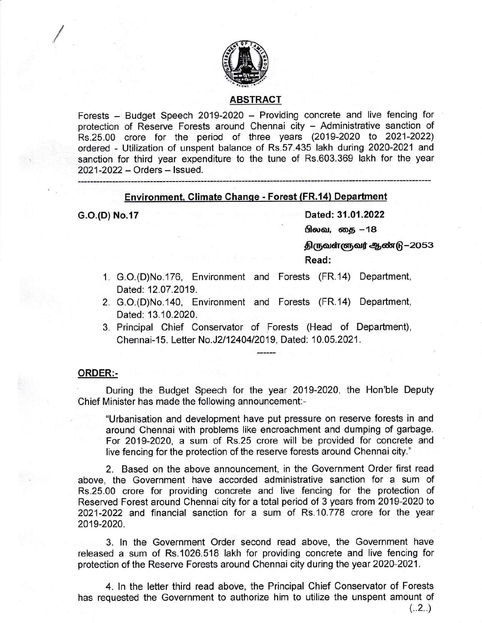

### ABSTRACT

Forests - Budget Speech 2019-2020 - Providing concrete and live fencing for protection of Reserve Forests around Chennai city - Administrative sanction of Rs.25.00 crore for the period of three years (2019-2020 to 2021-2022) ordered - Utilization of unspent balance of Rs.57.435 lakh during 2020-2021 and sanction for third year expenditure to the tune of Rs.603.369 lakh for the year <sup>2021</sup>-2022 - Orders - lssued.

### Environment, Climate Change - Forest (FR.14) Department

C.O.(D) No.17 Dated: 31.01.2022<br>மிலவ, தை –18

திருவள்ளுவர் ஆண்டு−2053

Read:

- 1. G.O.(D)No.176, Environment and Forests (FR.14) Department, Dated: 12.07.2019.
- 2. G.O.(D)No.140, Environment and Forests (FR.14) Department, Dated: 13.10.2020.
- 3. Principal Chief Conservator of Forests (Head of Department), Chennai-15. Letter No.J2/12404/2019, Dated: 10.05.2021.

#### ORDER:-

During the Budget Speech for the year 2019-2020, the Hon'ble Deputy Chief Minister has made the following announcement:-

"Urbanisation and development have put pressure on reserve forests in and around Chennai with problems like encroachment and dumping of garbage. For 2019-2020, a sum of Rs.25 crore will be provided for concrete and live fencing for the protection of the reserve forests around Chennai city."

2. Based on the above announcement, in the Government Order first read above, the Government have accorded administrative sanction for a sum of Rs.25.00 crore for providing concrete and live fencing for the protection of Reserved Forest around Chennai city for a total period of 3 years from 2019-2020 to 2021-2022 and financial sanction for a sum of Rs.10.778 crore for the year 2019-2020.

3. ln the Government Order second read above, the Government have released a sum of Rs.1026.518 lakh for providing concrete and live fencing for protection of the Reserve Forests around Chennai city during the year 2020-2021.

4. ln the letter third read above, the Principal Chief Conservator of Forests has requested the Government to authorize him to utilize the unspent amount of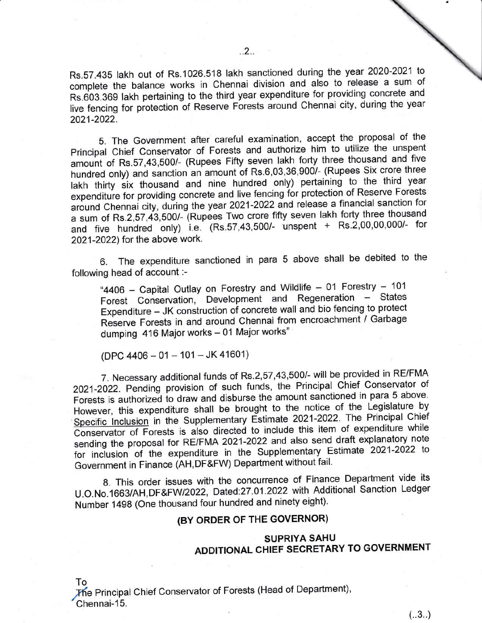Rs.S7.435 lakh out of Rs.1026.518 lakh sanctioned during the year 2020-2021 lo complete the balance works in Chennai division and also to release a sum of Rs.603.369 lakh pertaining to the third year expenditure for providing concrete and live fencing for protection of Reserve Forests around Chennai city, during the year 2021-2022.

S. The Government after careful examination, accept the proposal of the principal Chief Conservator of Forests and authorize him to utilize the unspent amount of Rs.57,43,500/- (Rupees Fifty seven lakh forty three thousand and five hundred only) and sanction an amount of Rs.6,03,36,900/- (Rupees Six crore three lakh thirty six thousand and nine hundred only) pertaining to the third year expenditure for providing concrete and live fencing for protection of Reserve Forests around Chennai city, during the year 2021-2022 and release a financial sanction for a sum of Rs.2,57,43,500/- (Rupees Two crore fifty seven lakh forty three thousand and five hundred only) i.e. (Rs.57,43,500/- unspent + Rs.2,00,00,000/- for 2021-2022) for the above work.

6. The expenditure sanctioned in para 5 above shall be debited to the following head of account :-

"4406 - Capital Outlay on Forestry and Wildlife - 01 Forestry - 101 Forest Conservation, Development and Regeneration - States Expenditure - JK construction of concrete wall and bio fencing to protect Reserve Forests in and around Chennai from encroachment / Garbage dumping 416 Major works - 01 Major works"

(DPC 4406 - 01 - 101 - JK 41601)

7. Necessary additional funds of Rs.2,57,43,5001- will be provided in RE/FMA 2021-2022. Pending provision of such funds, the Principal chief conservator of Forests is authorized to draw and disburse the amount sanctioned in para 5 above. However, this expenditure shall be brought to the notice of the Legislature by Specific Inclusion in the Supplementary Estimate 2021-2022. The Principal Chief conservator of Forests is also directed to include this item of expenditure while sending the proposal for RE/FMA 2021-2022 and also send draft explanatory note for inclusion of the expenditure in the supplementary Estimate 2021-2022 to Government in Finance (AH,DF&FW) Department without fail.

g. This order issues with the concurrence of Finance Department vide its U.O.No.1663/AH,DF&FW/2022, Dated:27.01.2022 with Additional Sanction Ledger Number 1498 (One thousand four hundred and ninety eight).

# (BY ORDER OF THE GOVERNOR)

## SUPRIYA SAHU ADDITIONAL CHIEF SECRETARY TO GOVERNMENT

To

The Principal Chief Conservator of Forests (Head of Department), Chennai-15.

 $(.3.)$